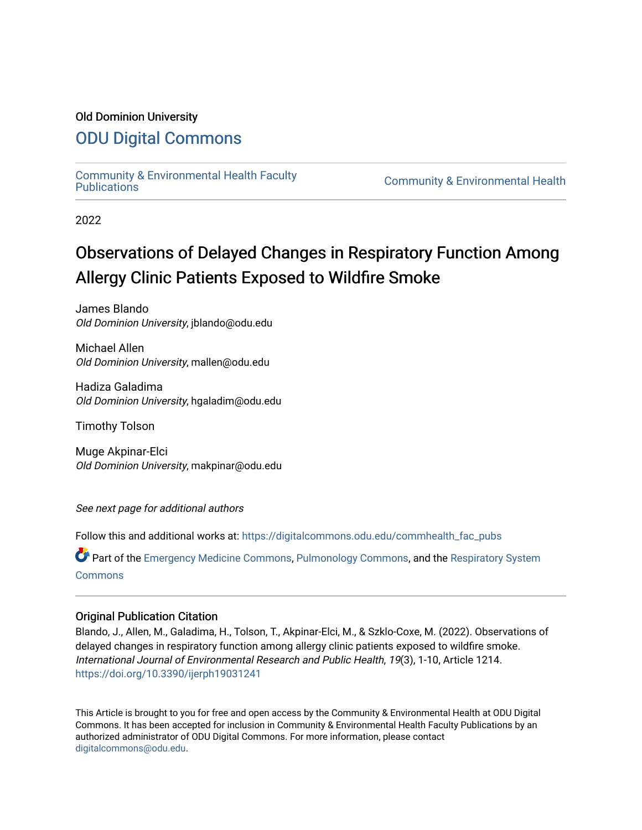# Old Dominion University

# [ODU Digital Commons](https://digitalcommons.odu.edu/)

[Community & Environmental Health Faculty](https://digitalcommons.odu.edu/commhealth_fac_pubs)

**Community & Environmental Health** 

2022

# Observations of Delayed Changes in Respiratory Function Among Allergy Clinic Patients Exposed to Wildfire Smoke

James Blando Old Dominion University, jblando@odu.edu

Michael Allen Old Dominion University, mallen@odu.edu

Hadiza Galadima Old Dominion University, hgaladim@odu.edu

Timothy Tolson

Muge Akpinar-Elci Old Dominion University, makpinar@odu.edu

See next page for additional authors

Follow this and additional works at: [https://digitalcommons.odu.edu/commhealth\\_fac\\_pubs](https://digitalcommons.odu.edu/commhealth_fac_pubs?utm_source=digitalcommons.odu.edu%2Fcommhealth_fac_pubs%2F125&utm_medium=PDF&utm_campaign=PDFCoverPages) 

Part of the [Emergency Medicine Commons](http://network.bepress.com/hgg/discipline/685?utm_source=digitalcommons.odu.edu%2Fcommhealth_fac_pubs%2F125&utm_medium=PDF&utm_campaign=PDFCoverPages), [Pulmonology Commons,](http://network.bepress.com/hgg/discipline/1363?utm_source=digitalcommons.odu.edu%2Fcommhealth_fac_pubs%2F125&utm_medium=PDF&utm_campaign=PDFCoverPages) and the [Respiratory System](http://network.bepress.com/hgg/discipline/919?utm_source=digitalcommons.odu.edu%2Fcommhealth_fac_pubs%2F125&utm_medium=PDF&utm_campaign=PDFCoverPages)  **[Commons](http://network.bepress.com/hgg/discipline/919?utm_source=digitalcommons.odu.edu%2Fcommhealth_fac_pubs%2F125&utm_medium=PDF&utm_campaign=PDFCoverPages)** 

## Original Publication Citation

Blando, J., Allen, M., Galadima, H., Tolson, T., Akpinar-Elci, M., & Szklo-Coxe, M. (2022). Observations of delayed changes in respiratory function among allergy clinic patients exposed to wildfire smoke. International Journal of Environmental Research and Public Health, 19(3), 1-10, Article 1214. <https://doi.org/10.3390/ijerph19031241>

This Article is brought to you for free and open access by the Community & Environmental Health at ODU Digital Commons. It has been accepted for inclusion in Community & Environmental Health Faculty Publications by an authorized administrator of ODU Digital Commons. For more information, please contact [digitalcommons@odu.edu](mailto:digitalcommons@odu.edu).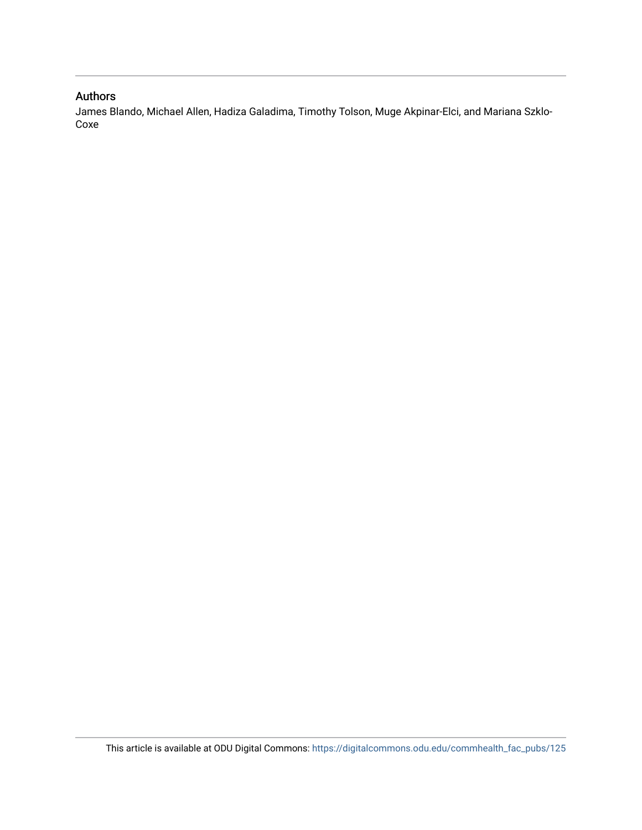# Authors

James Blando, Michael Allen, Hadiza Galadima, Timothy Tolson, Muge Akpinar-Elci, and Mariana Szklo-Coxe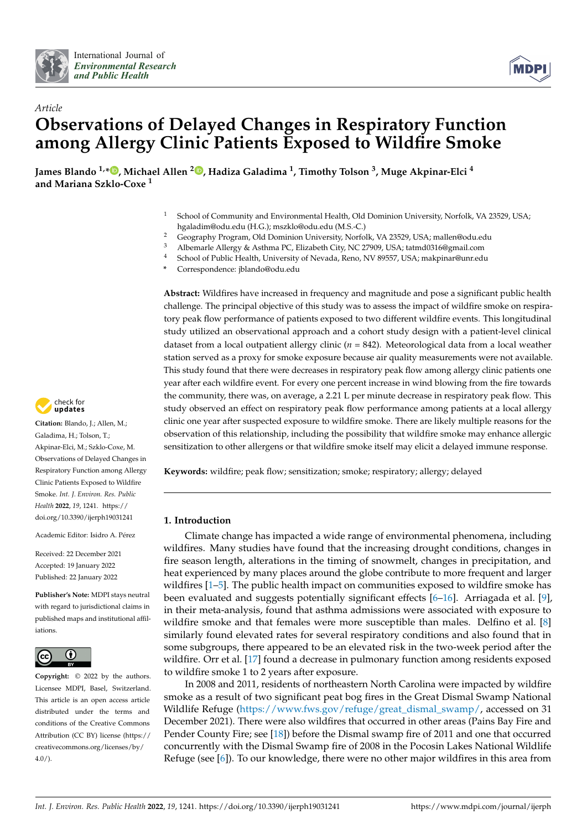



# *Article* **Observations of Delayed Changes in Respiratory Function among Allergy Clinic Patients Exposed to Wildfire Smoke**

**James Blando 1,[\\*](https://orcid.org/0000-0001-5619-499X) , Michael Allen <sup>2</sup> [,](https://orcid.org/0000-0002-8897-3901) Hadiza Galadima <sup>1</sup> , Timothy Tolson <sup>3</sup> , Muge Akpinar-Elci <sup>4</sup> and Mariana Szklo-Coxe <sup>1</sup>**

- <sup>1</sup> School of Community and Environmental Health, Old Dominion University, Norfolk, VA 23529, USA; hgaladim@odu.edu (H.G.); mszklo@odu.edu (M.S.-C.)
- <sup>2</sup> Geography Program, Old Dominion University, Norfolk, VA 23529, USA; mallen@odu.edu<br><sup>3</sup> Albamarla Allargy & Acthma PC, Elizabeth City, NG 27000, USA; tatmd0216@amail.com
- <sup>3</sup> Albemarle Allergy & Asthma PC, Elizabeth City, NC 27909, USA; tatmd0316@gmail.com
- <sup>4</sup> School of Public Health, University of Nevada, Reno, NV 89557, USA; makpinar@unr.edu
- **\*** Correspondence: jblando@odu.edu

**Abstract:** Wildfires have increased in frequency and magnitude and pose a significant public health challenge. The principal objective of this study was to assess the impact of wildfire smoke on respiratory peak flow performance of patients exposed to two different wildfire events. This longitudinal study utilized an observational approach and a cohort study design with a patient-level clinical dataset from a local outpatient allergy clinic (*n* = 842). Meteorological data from a local weather station served as a proxy for smoke exposure because air quality measurements were not available. This study found that there were decreases in respiratory peak flow among allergy clinic patients one year after each wildfire event. For every one percent increase in wind blowing from the fire towards the community, there was, on average, a 2.21 L per minute decrease in respiratory peak flow. This study observed an effect on respiratory peak flow performance among patients at a local allergy clinic one year after suspected exposure to wildfire smoke. There are likely multiple reasons for the observation of this relationship, including the possibility that wildfire smoke may enhance allergic sensitization to other allergens or that wildfire smoke itself may elicit a delayed immune response.

**Keywords:** wildfire; peak flow; sensitization; smoke; respiratory; allergy; delayed

### **1. Introduction**

Climate change has impacted a wide range of environmental phenomena, including wildfires. Many studies have found that the increasing drought conditions, changes in fire season length, alterations in the timing of snowmelt, changes in precipitation, and heat experienced by many places around the globe contribute to more frequent and larger wildfires [\[1](#page-10-0)[–5\]](#page-10-1). The public health impact on communities exposed to wildfire smoke has been evaluated and suggests potentially significant effects [\[6](#page-10-2)[–16\]](#page-11-0). Arriagada et al. [\[9\]](#page-11-1), in their meta-analysis, found that asthma admissions were associated with exposure to wildfire smoke and that females were more susceptible than males. Delfino et al. [\[8\]](#page-11-2) similarly found elevated rates for several respiratory conditions and also found that in some subgroups, there appeared to be an elevated risk in the two-week period after the wildfire. Orr et al. [\[17\]](#page-11-3) found a decrease in pulmonary function among residents exposed to wildfire smoke 1 to 2 years after exposure.

In 2008 and 2011, residents of northeastern North Carolina were impacted by wildfire smoke as a result of two significant peat bog fires in the Great Dismal Swamp National Wildlife Refuge [\(https://www.fws.gov/refuge/great\\_dismal\\_swamp/,](https://www.fws.gov/refuge/great_dismal_swamp/) accessed on 31 December 2021). There were also wildfires that occurred in other areas (Pains Bay Fire and Pender County Fire; see [\[18\]](#page-11-4)) before the Dismal swamp fire of 2011 and one that occurred concurrently with the Dismal Swamp fire of 2008 in the Pocosin Lakes National Wildlife Refuge (see [\[6\]](#page-10-2)). To our knowledge, there were no other major wildfires in this area from



**Citation:** Blando, J.; Allen, M.; Galadima, H.; Tolson, T.; Akpinar-Elci, M.; Szklo-Coxe, M. Observations of Delayed Changes in Respiratory Function among Allergy Clinic Patients Exposed to Wildfire Smoke. *Int. J. Environ. Res. Public Health* **2022**, *19*, 1241. [https://](https://doi.org/10.3390/ijerph19031241) [doi.org/10.3390/ijerph19031241](https://doi.org/10.3390/ijerph19031241)

Academic Editor: Isidro A. Pérez

Received: 22 December 2021 Accepted: 19 January 2022 Published: 22 January 2022

**Publisher's Note:** MDPI stays neutral with regard to jurisdictional claims in published maps and institutional affiliations.



**Copyright:** © 2022 by the authors. Licensee MDPI, Basel, Switzerland. This article is an open access article distributed under the terms and conditions of the Creative Commons Attribution (CC BY) license [\(https://](https://creativecommons.org/licenses/by/4.0/) [creativecommons.org/licenses/by/](https://creativecommons.org/licenses/by/4.0/)  $4.0/$ ).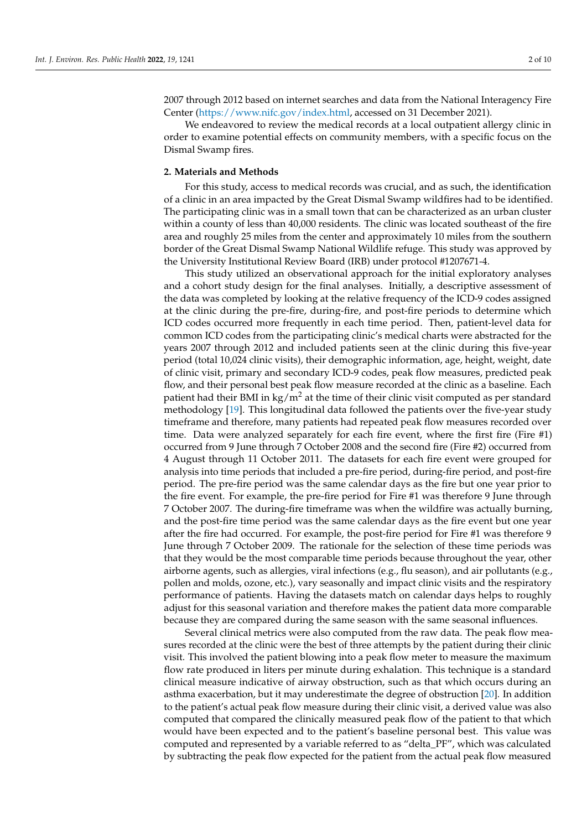2007 through 2012 based on internet searches and data from the National Interagency Fire Center [\(https://www.nifc.gov/index.html,](https://www.nifc.gov/index.html) accessed on 31 December 2021).

We endeavored to review the medical records at a local outpatient allergy clinic in order to examine potential effects on community members, with a specific focus on the Dismal Swamp fires.

#### **2. Materials and Methods**

For this study, access to medical records was crucial, and as such, the identification of a clinic in an area impacted by the Great Dismal Swamp wildfires had to be identified. The participating clinic was in a small town that can be characterized as an urban cluster within a county of less than 40,000 residents. The clinic was located southeast of the fire area and roughly 25 miles from the center and approximately 10 miles from the southern border of the Great Dismal Swamp National Wildlife refuge. This study was approved by the University Institutional Review Board (IRB) under protocol #1207671-4.

This study utilized an observational approach for the initial exploratory analyses and a cohort study design for the final analyses. Initially, a descriptive assessment of the data was completed by looking at the relative frequency of the ICD-9 codes assigned at the clinic during the pre-fire, during-fire, and post-fire periods to determine which ICD codes occurred more frequently in each time period. Then, patient-level data for common ICD codes from the participating clinic's medical charts were abstracted for the years 2007 through 2012 and included patients seen at the clinic during this five-year period (total 10,024 clinic visits), their demographic information, age, height, weight, date of clinic visit, primary and secondary ICD-9 codes, peak flow measures, predicted peak flow, and their personal best peak flow measure recorded at the clinic as a baseline. Each patient had their BMI in  $kg/m^2$  at the time of their clinic visit computed as per standard methodology [\[19\]](#page-11-5). This longitudinal data followed the patients over the five-year study timeframe and therefore, many patients had repeated peak flow measures recorded over time. Data were analyzed separately for each fire event, where the first fire (Fire #1) occurred from 9 June through 7 October 2008 and the second fire (Fire #2) occurred from 4 August through 11 October 2011. The datasets for each fire event were grouped for analysis into time periods that included a pre-fire period, during-fire period, and post-fire period. The pre-fire period was the same calendar days as the fire but one year prior to the fire event. For example, the pre-fire period for Fire #1 was therefore 9 June through 7 October 2007. The during-fire timeframe was when the wildfire was actually burning, and the post-fire time period was the same calendar days as the fire event but one year after the fire had occurred. For example, the post-fire period for Fire #1 was therefore 9 June through 7 October 2009. The rationale for the selection of these time periods was that they would be the most comparable time periods because throughout the year, other airborne agents, such as allergies, viral infections (e.g., flu season), and air pollutants (e.g., pollen and molds, ozone, etc.), vary seasonally and impact clinic visits and the respiratory performance of patients. Having the datasets match on calendar days helps to roughly adjust for this seasonal variation and therefore makes the patient data more comparable because they are compared during the same season with the same seasonal influences.

Several clinical metrics were also computed from the raw data. The peak flow measures recorded at the clinic were the best of three attempts by the patient during their clinic visit. This involved the patient blowing into a peak flow meter to measure the maximum flow rate produced in liters per minute during exhalation. This technique is a standard clinical measure indicative of airway obstruction, such as that which occurs during an asthma exacerbation, but it may underestimate the degree of obstruction [\[20\]](#page-11-6). In addition to the patient's actual peak flow measure during their clinic visit, a derived value was also computed that compared the clinically measured peak flow of the patient to that which would have been expected and to the patient's baseline personal best. This value was computed and represented by a variable referred to as "delta\_PF", which was calculated by subtracting the peak flow expected for the patient from the actual peak flow measured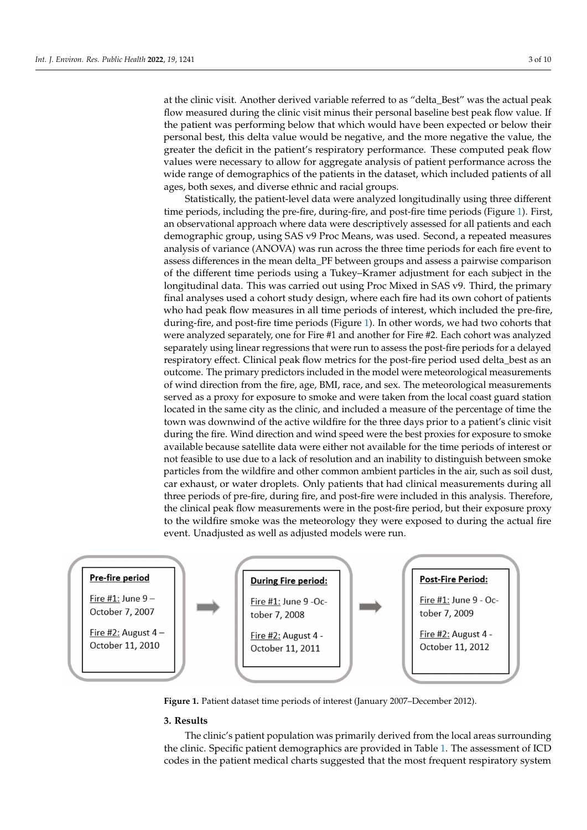at the clinic visit. Another derived variable referred to as "delta\_Best" was the actual peak flow measured during the clinic visit minus their personal baseline best peak flow value. If the patient was performing below that which would have been expected or below their personal best, this delta value would be negative, and the more negative the value, the greater the deficit in the patient's respiratory performance. These computed peak flow values were necessary to allow for aggregate analysis of patient performance across the wide range of demographics of the patients in the dataset, which included patients of all ages, both sexes, and diverse ethnic and racial groups.

Statistically, the patient-level data were analyzed longitudinally using three different time periods, including the pre-fire, during-fire, and post-fire time periods (Figure [1\)](#page-4-0). First, an observational approach where data were descriptively assessed for all patients and each demographic group, using SAS v9 Proc Means, was used. Second, a repeated measures analysis of variance (ANOVA) was run across the three time periods for each fire event to assess differences in the mean delta\_PF between groups and assess a pairwise comparison of the different time periods using a Tukey–Kramer adjustment for each subject in the longitudinal data. This was carried out using Proc Mixed in SAS v9. Third, the primary final analyses used a cohort study design, where each fire had its own cohort of patients who had peak flow measures in all time periods of interest, which included the pre-fire, during-fire, and post-fire time periods (Figure [1\)](#page-4-0). In other words, we had two cohorts that were analyzed separately, one for Fire #1 and another for Fire #2. Each cohort was analyzed separately using linear regressions that were run to assess the post-fire periods for a delayed respiratory effect. Clinical peak flow metrics for the post-fire period used delta\_best as an outcome. The primary predictors included in the model were meteorological measurements of wind direction from the fire, age, BMI, race, and sex. The meteorological measurements served as a proxy for exposure to smoke and were taken from the local coast guard station located in the same city as the clinic, and included a measure of the percentage of time the town was downwind of the active wildfire for the three days prior to a patient's clinic visit during the fire. Wind direction and wind speed were the best proxies for exposure to smoke available because satellite data were either not available for the time periods of interest or not feasible to use due to a lack of resolution and an inability to distinguish between smoke particles from the wildfire and other common ambient particles in the air, such as soil dust, car exhaust, or water droplets. Only patients that had clinical measurements during all three periods of pre-fire, during fire, and post-fire were included in this analysis. Therefore, the clinical peak flow measurements were in the post-fire period, but their exposure proxy to the wildfire smoke was the meteorology they were exposed to during the actual fire event. Unadjusted as well as adjusted models were run.

<span id="page-4-0"></span>

**Figure 1.** Patient dataset time periods of interest (January 2007–December 2012). **Figure 1.** Patient dataset time periods of interest (January 2007–December 2012).

#### **3. Results**

The clinic's patient population was primarily derived from the local areas surrounding t[he](#page-5-0) clinic. Specific patient demographics are provided in Table 1. The assessment of ICD codes in the patient medical charts suggested that the most frequent respiratory system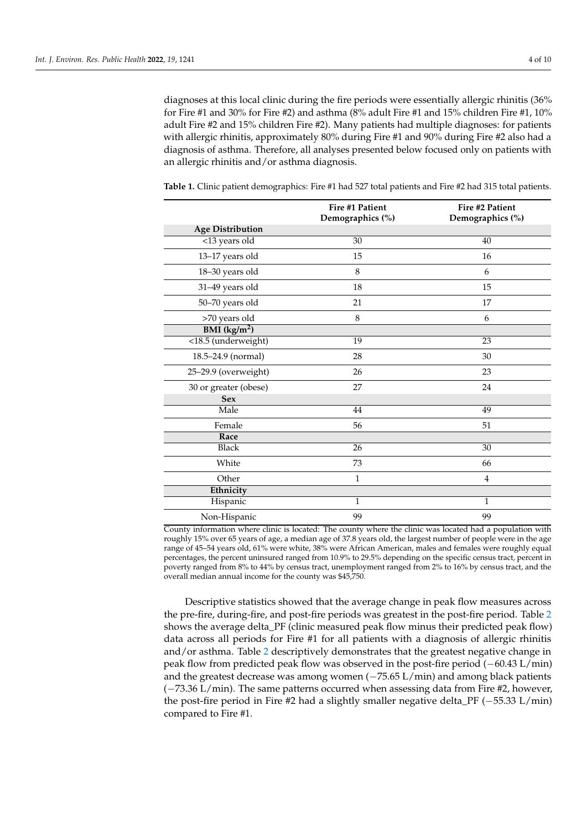diagnoses at this local clinic during the fire periods were essentially allergic rhinitis (36% for Fire #1 and 30% for Fire #2) and asthma (8% adult Fire #1 and 15% children Fire #1, 10% adult Fire #2 and 15% children Fire #2). Many patients had multiple diagnoses: for patients with allergic rhinitis, approximately 80% during Fire #1 and 90% during Fire #2 also had a diagnosis of asthma. Therefore, all analyses presented below focused only on patients with an allergic rhinitis and/or asthma diagnosis.

|                            | Fire #1 Patient<br>Demographics (%) | Fire #2 Patient<br>Demographics (%) |
|----------------------------|-------------------------------------|-------------------------------------|
| <b>Age Distribution</b>    |                                     |                                     |
| $\overline{$ <13 years old | 30                                  | 40                                  |
| 13-17 years old            | 15                                  | 16                                  |
| 18-30 years old            | 8                                   | 6                                   |
| 31-49 years old            | 18                                  | 15                                  |
| 50-70 years old            | 21                                  | 17                                  |
| >70 years old              | 8                                   | 6                                   |
| BMI (kg/m <sup>2</sup> )   |                                     |                                     |
| <18.5 (underweight)        | 19                                  | 23                                  |
| 18.5-24.9 (normal)         | 28                                  | 30                                  |
| 25-29.9 (overweight)       | 26                                  | 23                                  |
| 30 or greater (obese)      | 27                                  | 24                                  |
| <b>Sex</b>                 |                                     |                                     |
| Male                       | 44                                  | 49                                  |
| Female                     | 56                                  | 51                                  |
| Race                       |                                     |                                     |
| <b>Black</b>               | 26                                  | 30                                  |
| White                      | 73                                  | 66                                  |
| Other                      | 1                                   | 4                                   |
| Ethnicity                  |                                     |                                     |
| Hispanic                   | $\mathbf{1}$                        | $\mathbf{1}$                        |
| Non-Hispanic               | 99                                  | 99                                  |

<span id="page-5-0"></span>**Table 1.** Clinic patient demographics: Fire #1 had 527 total patients and Fire #2 had 315 total patients.

County information where clinic is located: The county where the clinic was located had a population with roughly 15% over 65 years of age, a median age of 37.8 years old, the largest number of people were in the age range of 45–54 years old, 61% were white, 38% were African American, males and females were roughly equal percentages, the percent uninsured ranged from 10.9% to 29.5% depending on the specific census tract, percent in poverty ranged from 8% to 44% by census tract, unemployment ranged from 2% to 16% by census tract, and the overall median annual income for the county was \$45,750.

Descriptive statistics showed that the average change in peak flow measures across the pre-fire, during-fire, and post-fire periods was greatest in the post-fire period. Table [2](#page-6-0) shows the average delta\_PF (clinic measured peak flow minus their predicted peak flow) data across all periods for Fire #1 for all patients with a diagnosis of allergic rhinitis and/or asthma. Table [2](#page-6-0) descriptively demonstrates that the greatest negative change in peak flow from predicted peak flow was observed in the post-fire period (−60.43 L/min) and the greatest decrease was among women (−75.65 L/min) and among black patients (−73.36 L/min). The same patterns occurred when assessing data from Fire #2, however, the post-fire period in Fire #2 had a slightly smaller negative delta\_PF (−55.33 L/min) compared to Fire #1.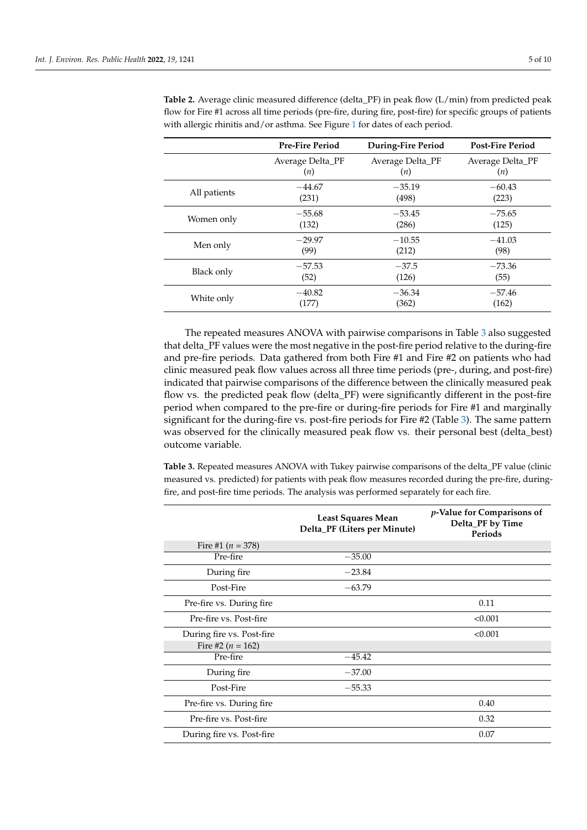|              | <b>Pre-Fire Period</b> | During-Fire Period | <b>Post-Fire Period</b> |
|--------------|------------------------|--------------------|-------------------------|
|              | Average Delta_PF       | Average Delta_PF   | Average Delta_PF        |
|              | (n)                    | (n)                | (n)                     |
| All patients | $-44.67$               | $-35.19$           | $-60.43$                |
|              | (231)                  | (498)              | (223)                   |
| Women only   | $-55.68$               | $-53.45$           | $-75.65$                |
|              | (132)                  | (286)              | (125)                   |
| Men only     | $-29.97$               | $-10.55$           | $-41.03$                |
|              | (99)                   | (212)              | (98)                    |
| Black only   | $-57.53$               | $-37.5$            | $-73.36$                |
|              | (52)                   | (126)              | (55)                    |
| White only   | $-40.82$               | $-36.34$           | $-57.46$                |
|              | (177)                  | (362)              | (162)                   |

<span id="page-6-0"></span>**Table 2.** Average clinic measured difference (delta\_PF) in peak flow (L/min) from predicted peak flow for Fire #1 across all time periods (pre-fire, during fire, post-fire) for specific groups of patients with allergic rhinitis and/or asthma. See Figure [1](#page-4-0) for dates of each period.

The repeated measures ANOVA with pairwise comparisons in Table [3](#page-6-1) also suggested that delta\_PF values were the most negative in the post-fire period relative to the during-fire and pre-fire periods. Data gathered from both Fire #1 and Fire #2 on patients who had clinic measured peak flow values across all three time periods (pre-, during, and post-fire) indicated that pairwise comparisons of the difference between the clinically measured peak flow vs. the predicted peak flow (delta\_PF) were significantly different in the post-fire period when compared to the pre-fire or during-fire periods for Fire #1 and marginally significant for the during-fire vs. post-fire periods for Fire #2 (Table [3\)](#page-6-1). The same pattern was observed for the clinically measured peak flow vs. their personal best (delta\_best) outcome variable.

<span id="page-6-1"></span>**Table 3.** Repeated measures ANOVA with Tukey pairwise comparisons of the delta\_PF value (clinic measured vs. predicted) for patients with peak flow measures recorded during the pre-fire, duringfire, and post-fire time periods. The analysis was performed separately for each fire.

|                           | <b>Least Squares Mean</b><br>Delta_PF (Liters per Minute) | p-Value for Comparisons of<br>Delta_PF by Time<br>Periods |
|---------------------------|-----------------------------------------------------------|-----------------------------------------------------------|
| Fire #1 $(n = 378)$       |                                                           |                                                           |
| Pre-fire                  | $-35.00$                                                  |                                                           |
| During fire               | $-23.84$                                                  |                                                           |
| Post-Fire                 | $-63.79$                                                  |                                                           |
| Pre-fire vs. During fire  |                                                           | 0.11                                                      |
| Pre-fire vs. Post-fire    |                                                           | < 0.001                                                   |
| During fire vs. Post-fire |                                                           | < 0.001                                                   |
| Fire #2 ( $n = 162$ )     |                                                           |                                                           |
| Pre-fire                  | $-45.42$                                                  |                                                           |
| During fire               | $-37.00$                                                  |                                                           |
| Post-Fire                 | $-55.33$                                                  |                                                           |
| Pre-fire vs. During fire  |                                                           | 0.40                                                      |
| Pre-fire vs. Post-fire    |                                                           | 0.32                                                      |
| During fire vs. Post-fire |                                                           | 0.07                                                      |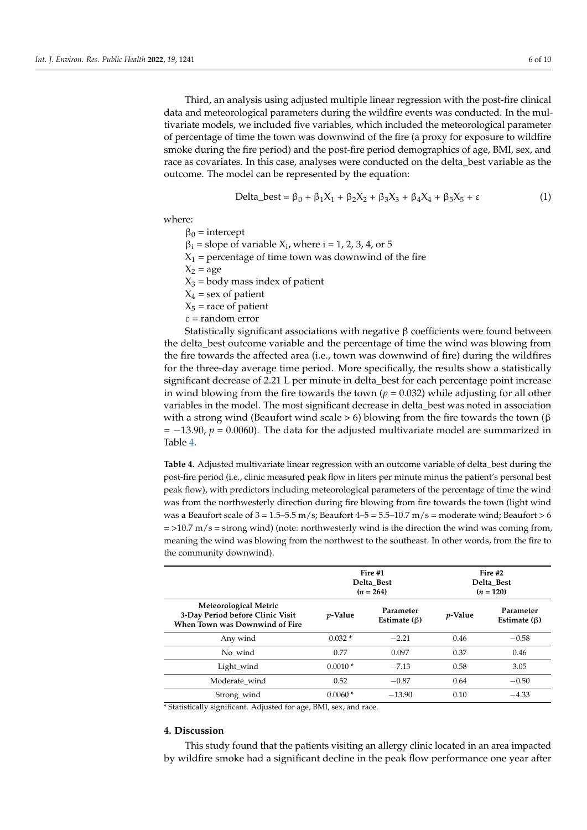Third, an analysis using adjusted multiple linear regression with the post-fire clinical data and meteorological parameters during the wildfire events was conducted. In the multivariate models, we included five variables, which included the meteorological parameter of percentage of time the town was downwind of the fire (a proxy for exposure to wildfire smoke during the fire period) and the post-fire period demographics of age, BMI, sex, and race as covariates. In this case, analyses were conducted on the delta\_best variable as the outcome. The model can be represented by the equation:

$$
Delta_b + \beta_1 X_1 + \beta_2 X_2 + \beta_3 X_3 + \beta_4 X_4 + \beta_5 X_5 + \varepsilon
$$
 (1)

where:

 $β<sub>0</sub> = intercept$ 

 $\beta_i$  = slope of variable  $X_i$ , where  $i = 1, 2, 3, 4$ , or 5

 $X_1$  = percentage of time town was downwind of the fire

 $X_2$  = age

 $X_3$  = body mass index of patient

 $X_4$  = sex of patient

 $X_5$  = race of patient

 $\epsilon$  = random error

Statistically significant associations with negative β coefficients were found between the delta\_best outcome variable and the percentage of time the wind was blowing from the fire towards the affected area (i.e., town was downwind of fire) during the wildfires for the three-day average time period. More specifically, the results show a statistically significant decrease of 2.21 L per minute in delta\_best for each percentage point increase in wind blowing from the fire towards the town  $(p = 0.032)$  while adjusting for all other variables in the model. The most significant decrease in delta\_best was noted in association with a strong wind (Beaufort wind scale > 6) blowing from the fire towards the town (β = −13.90, *p* = 0.0060). The data for the adjusted multivariate model are summarized in Table [4.](#page-7-0)

<span id="page-7-0"></span>**Table 4.** Adjusted multivariate linear regression with an outcome variable of delta\_best during the post-fire period (i.e., clinic measured peak flow in liters per minute minus the patient's personal best peak flow), with predictors including meteorological parameters of the percentage of time the wind was from the northwesterly direction during fire blowing from fire towards the town (light wind was a Beaufort scale of  $3 = 1.5-5.5$  m/s; Beaufort  $4-5 = 5.5-10.7$  m/s = moderate wind; Beaufort > 6  $=$  >10.7 m/s = strong wind) (note: northwesterly wind is the direction the wind was coming from, meaning the wind was blowing from the northwest to the southeast. In other words, from the fire to the community downwind).

|                                                                                                    | Fire #1<br>Delta Best<br>$(n = 264)$ |                                 | Fire #2<br>Delta Best<br>$(n = 120)$ |                                 |
|----------------------------------------------------------------------------------------------------|--------------------------------------|---------------------------------|--------------------------------------|---------------------------------|
| <b>Meteorological Metric</b><br>3-Day Period before Clinic Visit<br>When Town was Downwind of Fire | <i>p</i> -Value                      | Parameter<br>Estimate $(\beta)$ | $p$ -Value                           | Parameter<br>Estimate $(\beta)$ |
| Any wind                                                                                           | $0.032*$                             | $-2.21$                         | 0.46                                 | $-0.58$                         |
| No wind                                                                                            | 0.77                                 | 0.097                           | 0.37                                 | 0.46                            |
| Light_wind                                                                                         | $0.0010*$                            | $-7.13$                         | 0.58                                 | 3.05                            |
| Moderate wind                                                                                      | 0.52                                 | $-0.87$                         | 0.64                                 | $-0.50$                         |
| Strong_wind                                                                                        | $0.0060*$                            | $-13.90$                        | 0.10                                 | $-4.33$                         |

\* Statistically significant. Adjusted for age, BMI, sex, and race.

#### **4. Discussion**

This study found that the patients visiting an allergy clinic located in an area impacted by wildfire smoke had a significant decline in the peak flow performance one year after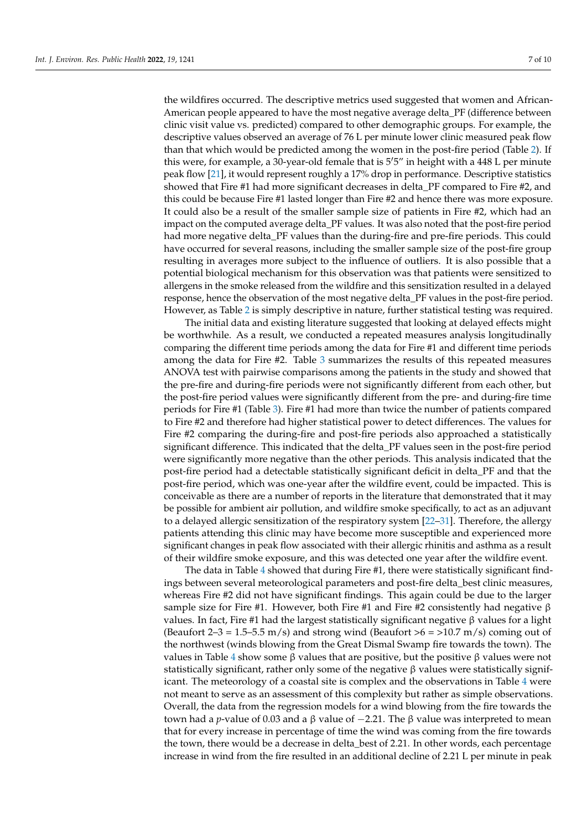the wildfires occurred. The descriptive metrics used suggested that women and African-American people appeared to have the most negative average delta\_PF (difference between clinic visit value vs. predicted) compared to other demographic groups. For example, the descriptive values observed an average of 76 L per minute lower clinic measured peak flow than that which would be predicted among the women in the post-fire period (Table [2\)](#page-6-0). If this were, for example, a 30-year-old female that is  $5'5''$  in height with a 448 L per minute peak flow [\[21\]](#page-11-7), it would represent roughly a 17% drop in performance. Descriptive statistics showed that Fire #1 had more significant decreases in delta\_PF compared to Fire #2, and this could be because Fire #1 lasted longer than Fire #2 and hence there was more exposure. It could also be a result of the smaller sample size of patients in Fire #2, which had an impact on the computed average delta\_PF values. It was also noted that the post-fire period had more negative delta\_PF values than the during-fire and pre-fire periods. This could have occurred for several reasons, including the smaller sample size of the post-fire group resulting in averages more subject to the influence of outliers. It is also possible that a potential biological mechanism for this observation was that patients were sensitized to allergens in the smoke released from the wildfire and this sensitization resulted in a delayed response, hence the observation of the most negative delta\_PF values in the post-fire period. However, as Table [2](#page-6-0) is simply descriptive in nature, further statistical testing was required.

The initial data and existing literature suggested that looking at delayed effects might be worthwhile. As a result, we conducted a repeated measures analysis longitudinally comparing the different time periods among the data for Fire #1 and different time periods among the data for Fire #2. Table [3](#page-6-1) summarizes the results of this repeated measures ANOVA test with pairwise comparisons among the patients in the study and showed that the pre-fire and during-fire periods were not significantly different from each other, but the post-fire period values were significantly different from the pre- and during-fire time periods for Fire #1 (Table [3\)](#page-6-1). Fire #1 had more than twice the number of patients compared to Fire #2 and therefore had higher statistical power to detect differences. The values for Fire #2 comparing the during-fire and post-fire periods also approached a statistically significant difference. This indicated that the delta\_PF values seen in the post-fire period were significantly more negative than the other periods. This analysis indicated that the post-fire period had a detectable statistically significant deficit in delta\_PF and that the post-fire period, which was one-year after the wildfire event, could be impacted. This is conceivable as there are a number of reports in the literature that demonstrated that it may be possible for ambient air pollution, and wildfire smoke specifically, to act as an adjuvant to a delayed allergic sensitization of the respiratory system [\[22](#page-11-8)[–31\]](#page-11-9). Therefore, the allergy patients attending this clinic may have become more susceptible and experienced more significant changes in peak flow associated with their allergic rhinitis and asthma as a result of their wildfire smoke exposure, and this was detected one year after the wildfire event.

The data in Table [4](#page-7-0) showed that during Fire #1, there were statistically significant findings between several meteorological parameters and post-fire delta\_best clinic measures, whereas Fire #2 did not have significant findings. This again could be due to the larger sample size for Fire #1. However, both Fire #1 and Fire #2 consistently had negative  $\beta$ values. In fact, Fire #1 had the largest statistically significant negative β values for a light (Beaufort 2–3 = 1.5–5.5 m/s) and strong wind (Beaufort  $>6$  =  $>10.7$  m/s) coming out of the northwest (winds blowing from the Great Dismal Swamp fire towards the town). The values in Table [4](#page-7-0) show some β values that are positive, but the positive β values were not statistically significant, rather only some of the negative  $\beta$  values were statistically significant. The meteorology of a coastal site is complex and the observations in Table [4](#page-7-0) were not meant to serve as an assessment of this complexity but rather as simple observations. Overall, the data from the regression models for a wind blowing from the fire towards the town had a *p*-value of 0.03 and a β value of  $-2.21$ . The β value was interpreted to mean that for every increase in percentage of time the wind was coming from the fire towards the town, there would be a decrease in delta\_best of 2.21. In other words, each percentage increase in wind from the fire resulted in an additional decline of 2.21 L per minute in peak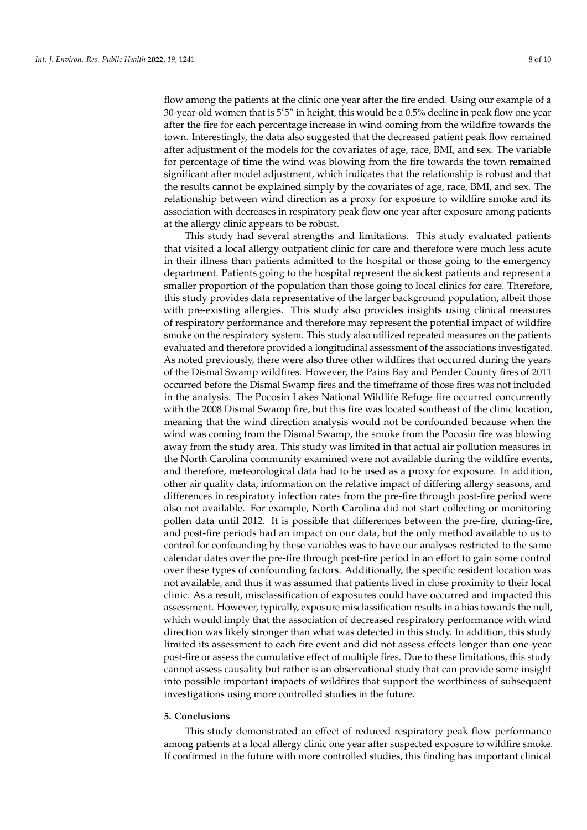flow among the patients at the clinic one year after the fire ended. Using our example of a 30-year-old women that is  $5^{\prime}5^{\prime\prime}$  in height, this would be a 0.5% decline in peak flow one year after the fire for each percentage increase in wind coming from the wildfire towards the town. Interestingly, the data also suggested that the decreased patient peak flow remained after adjustment of the models for the covariates of age, race, BMI, and sex. The variable for percentage of time the wind was blowing from the fire towards the town remained significant after model adjustment, which indicates that the relationship is robust and that the results cannot be explained simply by the covariates of age, race, BMI, and sex. The relationship between wind direction as a proxy for exposure to wildfire smoke and its association with decreases in respiratory peak flow one year after exposure among patients at the allergy clinic appears to be robust.

This study had several strengths and limitations. This study evaluated patients that visited a local allergy outpatient clinic for care and therefore were much less acute in their illness than patients admitted to the hospital or those going to the emergency department. Patients going to the hospital represent the sickest patients and represent a smaller proportion of the population than those going to local clinics for care. Therefore, this study provides data representative of the larger background population, albeit those with pre-existing allergies. This study also provides insights using clinical measures of respiratory performance and therefore may represent the potential impact of wildfire smoke on the respiratory system. This study also utilized repeated measures on the patients evaluated and therefore provided a longitudinal assessment of the associations investigated. As noted previously, there were also three other wildfires that occurred during the years of the Dismal Swamp wildfires. However, the Pains Bay and Pender County fires of 2011 occurred before the Dismal Swamp fires and the timeframe of those fires was not included in the analysis. The Pocosin Lakes National Wildlife Refuge fire occurred concurrently with the 2008 Dismal Swamp fire, but this fire was located southeast of the clinic location, meaning that the wind direction analysis would not be confounded because when the wind was coming from the Dismal Swamp, the smoke from the Pocosin fire was blowing away from the study area. This study was limited in that actual air pollution measures in the North Carolina community examined were not available during the wildfire events, and therefore, meteorological data had to be used as a proxy for exposure. In addition, other air quality data, information on the relative impact of differing allergy seasons, and differences in respiratory infection rates from the pre-fire through post-fire period were also not available. For example, North Carolina did not start collecting or monitoring pollen data until 2012. It is possible that differences between the pre-fire, during-fire, and post-fire periods had an impact on our data, but the only method available to us to control for confounding by these variables was to have our analyses restricted to the same calendar dates over the pre-fire through post-fire period in an effort to gain some control over these types of confounding factors. Additionally, the specific resident location was not available, and thus it was assumed that patients lived in close proximity to their local clinic. As a result, misclassification of exposures could have occurred and impacted this assessment. However, typically, exposure misclassification results in a bias towards the null, which would imply that the association of decreased respiratory performance with wind direction was likely stronger than what was detected in this study. In addition, this study limited its assessment to each fire event and did not assess effects longer than one-year post-fire or assess the cumulative effect of multiple fires. Due to these limitations, this study cannot assess causality but rather is an observational study that can provide some insight into possible important impacts of wildfires that support the worthiness of subsequent investigations using more controlled studies in the future.

#### **5. Conclusions**

This study demonstrated an effect of reduced respiratory peak flow performance among patients at a local allergy clinic one year after suspected exposure to wildfire smoke. If confirmed in the future with more controlled studies, this finding has important clinical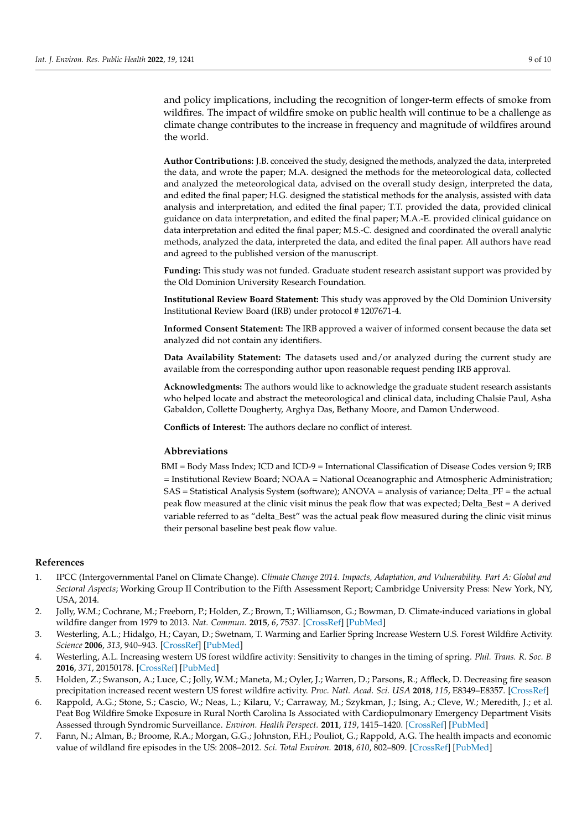and policy implications, including the recognition of longer-term effects of smoke from wildfires. The impact of wildfire smoke on public health will continue to be a challenge as climate change contributes to the increase in frequency and magnitude of wildfires around the world.

**Author Contributions:** J.B. conceived the study, designed the methods, analyzed the data, interpreted the data, and wrote the paper; M.A. designed the methods for the meteorological data, collected and analyzed the meteorological data, advised on the overall study design, interpreted the data, and edited the final paper; H.G. designed the statistical methods for the analysis, assisted with data analysis and interpretation, and edited the final paper; T.T. provided the data, provided clinical guidance on data interpretation, and edited the final paper; M.A.-E. provided clinical guidance on data interpretation and edited the final paper; M.S.-C. designed and coordinated the overall analytic methods, analyzed the data, interpreted the data, and edited the final paper. All authors have read and agreed to the published version of the manuscript.

**Funding:** This study was not funded. Graduate student research assistant support was provided by the Old Dominion University Research Foundation.

**Institutional Review Board Statement:** This study was approved by the Old Dominion University Institutional Review Board (IRB) under protocol # 1207671-4.

**Informed Consent Statement:** The IRB approved a waiver of informed consent because the data set analyzed did not contain any identifiers.

**Data Availability Statement:** The datasets used and/or analyzed during the current study are available from the corresponding author upon reasonable request pending IRB approval.

**Acknowledgments:** The authors would like to acknowledge the graduate student research assistants who helped locate and abstract the meteorological and clinical data, including Chalsie Paul, Asha Gabaldon, Collette Dougherty, Arghya Das, Bethany Moore, and Damon Underwood.

**Conflicts of Interest:** The authors declare no conflict of interest.

#### **Abbreviations**

BMI = Body Mass Index; ICD and ICD-9 = International Classification of Disease Codes version 9; IRB = Institutional Review Board; NOAA = National Oceanographic and Atmospheric Administration; SAS = Statistical Analysis System (software); ANOVA = analysis of variance; Delta\_PF = the actual peak flow measured at the clinic visit minus the peak flow that was expected; Delta\_Best = A derived variable referred to as "delta\_Best" was the actual peak flow measured during the clinic visit minus their personal baseline best peak flow value.

#### **References**

- <span id="page-10-0"></span>1. IPCC (Intergovernmental Panel on Climate Change). *Climate Change 2014. Impacts, Adaptation, and Vulnerability. Part A: Global and Sectoral Aspects*; Working Group II Contribution to the Fifth Assessment Report; Cambridge University Press: New York, NY, USA, 2014.
- 2. Jolly, W.M.; Cochrane, M.; Freeborn, P.; Holden, Z.; Brown, T.; Williamson, G.; Bowman, D. Climate-induced variations in global wildfire danger from 1979 to 2013. *Nat. Commun.* **2015**, *6*, 7537. [\[CrossRef\]](http://doi.org/10.1038/ncomms8537) [\[PubMed\]](http://www.ncbi.nlm.nih.gov/pubmed/26172867)
- 3. Westerling, A.L.; Hidalgo, H.; Cayan, D.; Swetnam, T. Warming and Earlier Spring Increase Western U.S. Forest Wildfire Activity. *Science* **2006**, *313*, 940–943. [\[CrossRef\]](http://doi.org/10.1126/science.1128834) [\[PubMed\]](http://www.ncbi.nlm.nih.gov/pubmed/16825536)
- 4. Westerling, A.L. Increasing western US forest wildfire activity: Sensitivity to changes in the timing of spring. *Phil. Trans. R. Soc. B* **2016**, *371*, 20150178. [\[CrossRef\]](http://doi.org/10.1098/rstb.2015.0178) [\[PubMed\]](http://www.ncbi.nlm.nih.gov/pubmed/27216510)
- <span id="page-10-1"></span>5. Holden, Z.; Swanson, A.; Luce, C.; Jolly, W.M.; Maneta, M.; Oyler, J.; Warren, D.; Parsons, R.; Affleck, D. Decreasing fire season precipitation increased recent western US forest wildfire activity. *Proc. Natl. Acad. Sci. USA* **2018**, *115*, E8349–E8357. [\[CrossRef\]](http://doi.org/10.1073/pnas.1802316115)
- <span id="page-10-2"></span>6. Rappold, A.G.; Stone, S.; Cascio, W.; Neas, L.; Kilaru, V.; Carraway, M.; Szykman, J.; Ising, A.; Cleve, W.; Meredith, J.; et al. Peat Bog Wildfire Smoke Exposure in Rural North Carolina Is Associated with Cardiopulmonary Emergency Department Visits Assessed through Syndromic Surveillance. *Environ. Health Perspect.* **2011**, *119*, 1415–1420. [\[CrossRef\]](http://doi.org/10.1289/ehp.1003206) [\[PubMed\]](http://www.ncbi.nlm.nih.gov/pubmed/21705297)
- 7. Fann, N.; Alman, B.; Broome, R.A.; Morgan, G.G.; Johnston, F.H.; Pouliot, G.; Rappold, A.G. The health impacts and economic value of wildland fire episodes in the US: 2008–2012. *Sci. Total Environ.* **2018**, *610*, 802–809. [\[CrossRef\]](http://doi.org/10.1016/j.scitotenv.2017.08.024) [\[PubMed\]](http://www.ncbi.nlm.nih.gov/pubmed/28826118)